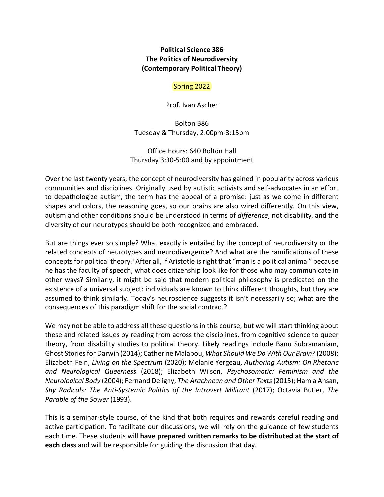### **Political Science 386 The Politics of Neurodiversity (Contemporary Political Theory)**

### Spring 2022

Prof. Ivan Ascher

Bolton B86 Tuesday & Thursday, 2:00pm‐3:15pm

Office Hours: 640 Bolton Hall Thursday 3:30‐5:00 and by appointment

Over the last twenty years, the concept of neurodiversity has gained in popularity across various communities and disciplines. Originally used by autistic activists and self‐advocates in an effort to depathologize autism, the term has the appeal of a promise: just as we come in different shapes and colors, the reasoning goes, so our brains are also wired differently. On this view, autism and other conditions should be understood in terms of *difference*, not disability, and the diversity of our neurotypes should be both recognized and embraced.

But are things ever so simple? What exactly is entailed by the concept of neurodiversity or the related concepts of neurotypes and neurodivergence? And what are the ramifications of these concepts for political theory? After all, if Aristotle is right that "man is a political animal" because he has the faculty of speech, what does citizenship look like for those who may communicate in other ways? Similarly, it might be said that modern political philosophy is predicated on the existence of a universal subject: individuals are known to think different thoughts, but they are assumed to think similarly. Today's neuroscience suggests it isn't necessarily so; what are the consequences of this paradigm shift for the social contract?

We may not be able to address all these questions in this course, but we will start thinking about these and related issues by reading from across the disciplines, from cognitive science to queer theory, from disability studies to political theory. Likely readings include Banu Subramaniam, Ghost Storiesfor Darwin (2014); Catherine Malabou, *What Should We Do With Our Brain?* (2008); Elizabeth Fein, *Living on the Spectrum* (2020); Melanie Yergeau, *Authoring Autism: On Rhetoric and Neurological Queerness* (2018); Elizabeth Wilson, *Psychosomatic: Feminism and the Neurological Body* (2004); Fernand Deligny, *The Arachnean and Other Texts*(2015); Hamja Ahsan, *Shy Radicals: The Anti‐Systemic Politics of the Introvert Militant* (2017); Octavia Butler, *The Parable of the Sower* (1993).

This is a seminar‐style course, of the kind that both requires and rewards careful reading and active participation. To facilitate our discussions, we will rely on the guidance of few students each time. These students will **have prepared written remarks to be distributed at the start of each class** and will be responsible for guiding the discussion that day.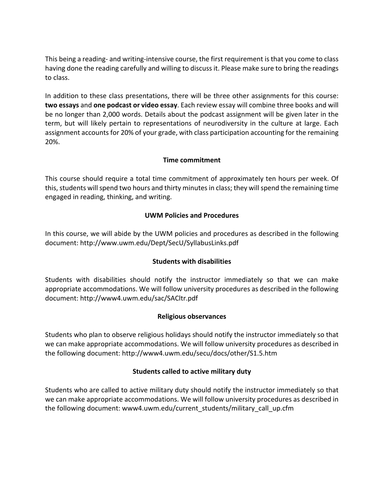This being a reading‐ and writing‐intensive course, the first requirement isthat you come to class having done the reading carefully and willing to discuss it. Please make sure to bring the readings to class.

In addition to these class presentations, there will be three other assignments for this course: **two essays** and **one podcast or video essay**. Each review essay will combine three books and will be no longer than 2,000 words. Details about the podcast assignment will be given later in the term, but will likely pertain to representations of neurodiversity in the culture at large. Each assignment accounts for 20% of your grade, with class participation accounting for the remaining 20%.

# **Time commitment**

This course should require a total time commitment of approximately ten hours per week. Of this, students will spend two hours and thirty minutes in class; they will spend the remaining time engaged in reading, thinking, and writing.

# **UWM Policies and Procedures**

In this course, we will abide by the UWM policies and procedures as described in the following document: http://www.uwm.edu/Dept/SecU/SyllabusLinks.pdf

# **Students with disabilities**

Students with disabilities should notify the instructor immediately so that we can make appropriate accommodations. We will follow university procedures as described in the following document: http://www4.uwm.edu/sac/SACltr.pdf

# **Religious observances**

Students who plan to observe religious holidays should notify the instructor immediately so that we can make appropriate accommodations. We will follow university procedures as described in the following document: http://www4.uwm.edu/secu/docs/other/S1.5.htm

# **Students called to active military duty**

Students who are called to active military duty should notify the instructor immediately so that we can make appropriate accommodations. We will follow university procedures as described in the following document: www4.uwm.edu/current\_students/military\_call\_up.cfm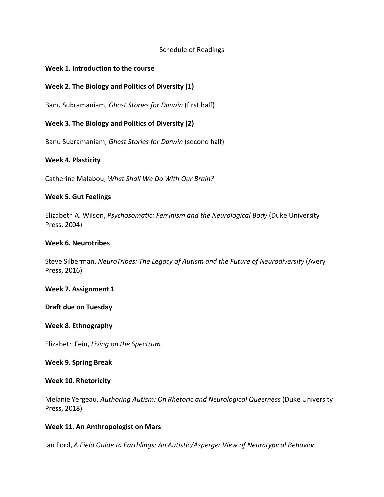### Schedule of Readings

#### **Week 1. Introduction to the course**

### **Week 2. The Biology and Politics of Diversity (1)**

Banu Subramaniam, *Ghost Stories for Darwin* (first half)

### **Week 3. The Biology and Politics of Diversity (2)**

Banu Subramaniam, *Ghost Stories for Darwin* (second half)

#### **Week 4. Plasticity**

Catherine Malabou, *What Shall We Do With Our Brain?*

#### **Week 5. Gut Feelings**

Elizabeth A. Wilson, *Psychosomatic: Feminism and the Neurological Body* (Duke University Press, 2004)

#### **Week 6. Neurotribes**

Steve Silberman, *NeuroTribes: The Legacy of Autism and the Future of Neurodiversity* (Avery Press, 2016)

#### **Week 7. Assignment 1**

**Draft due on Tuesday**

#### **Week 8. Ethnography**

Elizabeth Fein, *Living on the Spectrum*

#### **Week 9. Spring Break**

#### **Week 10. Rhetoricity**

Melanie Yergeau, *Authoring Autism: On Rhetoric and Neurological Queerness* (Duke University Press, 2018)

### **Week 11. An Anthropologist on Mars**

Ian Ford, *A Field Guide to Earthlings: An Autistic/Asperger View of Neurotypical Behavior*